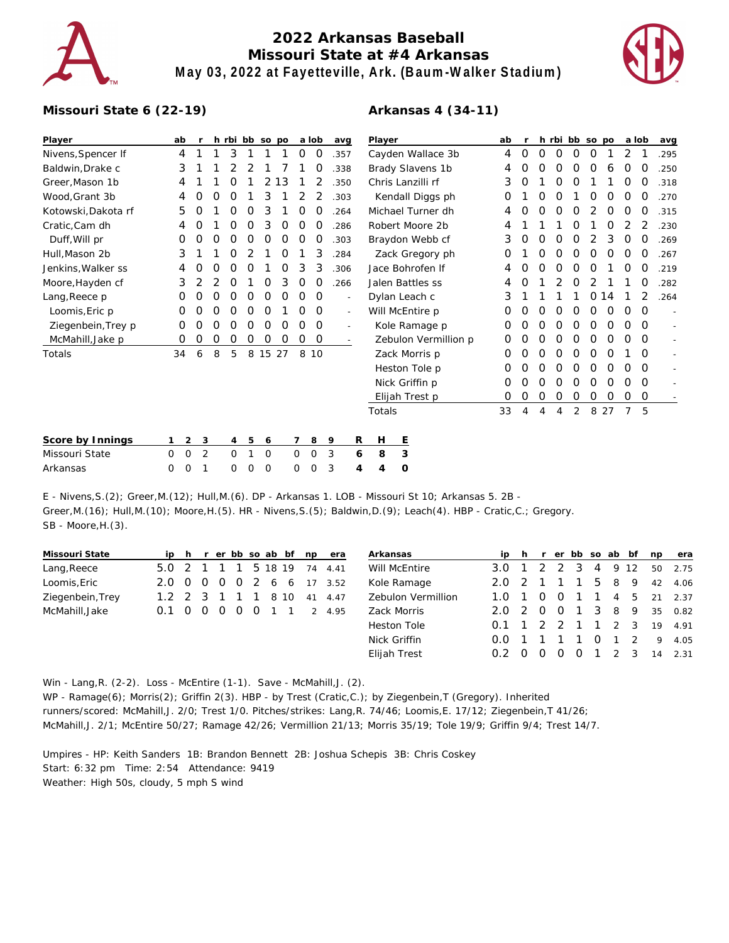

## **2022 Arkansas Baseball Missouri State at #4 Arkansas May 03, 2022 at Fayetteville, Ark. (Baum-Walker Stadium)**



## **Missouri State 6 (22-19)**

| Player              | ab             |   |                  | h rbi bb so po |          |       |   |          | a lob | avg                      | Player               | ab |   |          |          | h rbi bb so po |          |                  | a lob      |          | avg  |
|---------------------|----------------|---|------------------|----------------|----------|-------|---|----------|-------|--------------------------|----------------------|----|---|----------|----------|----------------|----------|------------------|------------|----------|------|
| Nivens, Spencer If  | 4              |   |                  | 3              |          |       |   | 0        | 0     | .357                     | Cayden Wallace 3b    | 4  | 0 | 0        | 0        | 0              | 0        |                  | 2          |          | .295 |
| Baldwin, Drake c    | 3              |   |                  |                |          |       |   |          |       | .338                     | Brady Slavens 1b     | 4  | 0 | $\Omega$ | O        | $\Omega$       | O        | 6                | $\Omega$   | O        | .250 |
| Greer, Mason 1b     | 4              |   |                  |                |          |       | 3 |          |       | .350                     | Chris Lanzilli rf    | 3  | 0 |          |          |                |          |                  | O          | O        | .318 |
| Wood,Grant 3b       | 4              | O | $\left( \right)$ | $\left($ )     |          | 3     |   |          |       | .303                     | Kendall Diggs ph     | O  |   | O        | O        |                | $\left($ | $\left( \right)$ | $\Omega$   | O        | .270 |
| Kotowski, Dakota rf | 5              |   |                  |                |          | 3     |   |          |       | 264                      | Michael Turner dh    | 4  | O | O        |          |                |          |                  |            |          | .315 |
| Cratic, Cam dh      | 4              |   |                  |                |          | 3     |   |          |       | 286                      | Robert Moore 2b      | 4  |   |          |          |                |          |                  |            |          | .230 |
| Duff, Will pr       | 0              | 0 | O                | O              | $\left($ | O     | 0 | $\Omega$ | O     | .303                     | Braydon Webb cf      | 3  | 0 | $\Omega$ | $\Omega$ | O              | 2        | 3                | $\Omega$   | O        | .269 |
| Hull, Mason 2b      | 3              |   |                  |                |          |       |   |          | 3     | 284                      | Zack Gregory ph      | 0  |   |          |          |                |          |                  |            | $\Omega$ | .267 |
| Jenkins, Walker ss  | 4              |   |                  |                |          |       | O | 3        | 3     | .306                     | Jace Bohrofen If     | 4  | O | O        | O        |                |          |                  |            | $\Omega$ | .219 |
| Moore, Hayden cf    | 3              |   |                  | O              |          |       | 3 | O        | O     | 266                      | Jalen Battles ss     | 4  | O |          |          |                |          |                  |            | O        | .282 |
| Lang, Reece p       | 0              |   |                  | O              |          | O     | O | O        | 0     | $\overline{\phantom{a}}$ | Dylan Leach c        | 3  |   |          |          |                | $\Omega$ | 14               |            |          | .264 |
| Loomis, Eric p      | O              | O |                  |                | $\left($ |       |   |          | 0     | $\overline{\phantom{a}}$ | Will McEntire p      | 0  | 0 | O        | O        | $\Omega$       | O        | O                | ∩          | $\Omega$ |      |
| Ziegenbein, Trey p  | O              |   |                  |                |          | O     |   |          | O     |                          | Kole Ramage p        | O  |   |          |          |                |          |                  |            | $\Omega$ |      |
| McMahill, Jake p    | 0              | O | O                | O              | $\left($ | O     | O | Ο        | 0     |                          | Zebulon Vermillion p | O  | O | O        | O        | $\Omega$       | O        | $\left($         | $\left($ ) | $\Omega$ |      |
| Totals              | 34             | 6 | 8                | 5              | 8        | 15 27 |   |          | 8 10  |                          | Zack Morris p        | 0  | 0 | O        | O        |                |          |                  |            | O        |      |
|                     |                |   |                  |                |          |       |   |          |       |                          | Heston Tole p        | O  |   |          |          |                |          |                  |            | $\Omega$ |      |
|                     |                |   |                  |                |          |       |   |          |       |                          | Nick Griffin p       | 0  | O | $\Omega$ | 0        | O              | $\Omega$ | O                | $\Omega$   | $\Omega$ |      |
|                     |                |   |                  |                |          |       |   |          |       |                          | Elijah Trest p       | 0  | 0 | 0        | 0        | 0              | 0        | 0                | 0          | $\Omega$ |      |
|                     |                |   |                  |                |          |       |   |          |       |                          | Totals               | 33 | 4 | 4        | 4        | 2              | 8        | 27               |            | 5        |      |
| Score by Innings    | $\overline{2}$ | 3 |                  | 4              | 5        | 6     |   |          | 8     | 9                        | Ε<br>R<br>H          |    |   |          |          |                |          |                  |            |          |      |

| Score by Innings |  |  |  |  | 123 456 789 RH E        |  |
|------------------|--|--|--|--|-------------------------|--|
| Missouri State   |  |  |  |  | 0 0 2 0 1 0 0 0 3 6 8 3 |  |
| Arkansas         |  |  |  |  | 0 0 1 0 0 0 0 0 3 4 4 0 |  |

E - Nivens,S.(2); Greer,M.(12); Hull,M.(6). DP - Arkansas 1. LOB - Missouri St 10; Arkansas 5. 2B - Greer,M.(16); Hull,M.(10); Moore,H.(5). HR - Nivens,S.(5); Baldwin,D.(9); Leach(4). HBP - Cratic,C.; Gregory. SB - Moore, H. (3).

| Missouri State   |               |  |  |  |         |    | ip h r er bb so ab bf np era | Arkansas           |                               |     |          | ip h r er bb so ab bf |          |         |            | np | era     |
|------------------|---------------|--|--|--|---------|----|------------------------------|--------------------|-------------------------------|-----|----------|-----------------------|----------|---------|------------|----|---------|
| Lang, Reece      | $5.0 \t2 \t1$ |  |  |  | 5 18 19 |    | 74 4.41                      | Will McEntire      | 3.0                           |     |          | -3                    |          | 4 9 12  |            |    | 50 2.75 |
| Loomis, Eric     |               |  |  |  |         |    | 2.0 0 0 0 0 2 6 6 17 3.52    | Kole Ramage        | 2.0 2                         |     |          |                       |          | 5 8 9   |            | 42 | 4.06    |
| Ziegenbein, Trey | $1.2 \t2 \t3$ |  |  |  | 8 10    | 41 | 4.47                         | Zebulon Vermillion | 1.O                           |     | $\Omega$ |                       |          |         | 1 1 4 5    |    | 21 2.37 |
| McMahill, Jake   | 0.1 0 0 0 0   |  |  |  |         |    | 2 4.95                       | Zack Morris        | 202                           | - 0 | - 0      |                       |          | 1 3 8 9 |            | 35 | 0.82    |
|                  |               |  |  |  |         |    |                              | Heston Tole        | $0.1 \quad 1 \quad 2 \quad 2$ |     |          |                       |          |         | 1 1 2 3    | 19 | 4.91    |
|                  |               |  |  |  |         |    |                              | Nick Griffin       | O.O.                          |     |          |                       | $\Omega$ |         | $1\quad 2$ | 9  | 4.05    |
|                  |               |  |  |  |         |    |                              | Elijah Trest       | 0 2                           |     |          |                       |          |         |            | 14 | 2.31    |

Win - Lang, R. (2-2). Loss - McEntire (1-1). Save - McMahill, J. (2). WP - Ramage(6); Morris(2); Griffin 2(3). HBP - by Trest (Cratic,C.); by Ziegenbein,T (Gregory). Inherited runners/scored: McMahill,J. 2/0; Trest 1/0. Pitches/strikes: Lang,R. 74/46; Loomis,E. 17/12; Ziegenbein,T 41/26; McMahill,J. 2/1; McEntire 50/27; Ramage 42/26; Vermillion 21/13; Morris 35/19; Tole 19/9; Griffin 9/4; Trest 14/7.

Umpires - HP: Keith Sanders 1B: Brandon Bennett 2B: Joshua Schepis 3B: Chris Coskey Start: 6:32 pm Time: 2:54 Attendance: 9419 Weather: High 50s, cloudy, 5 mph S wind

## **Arkansas 4 (34-11)**